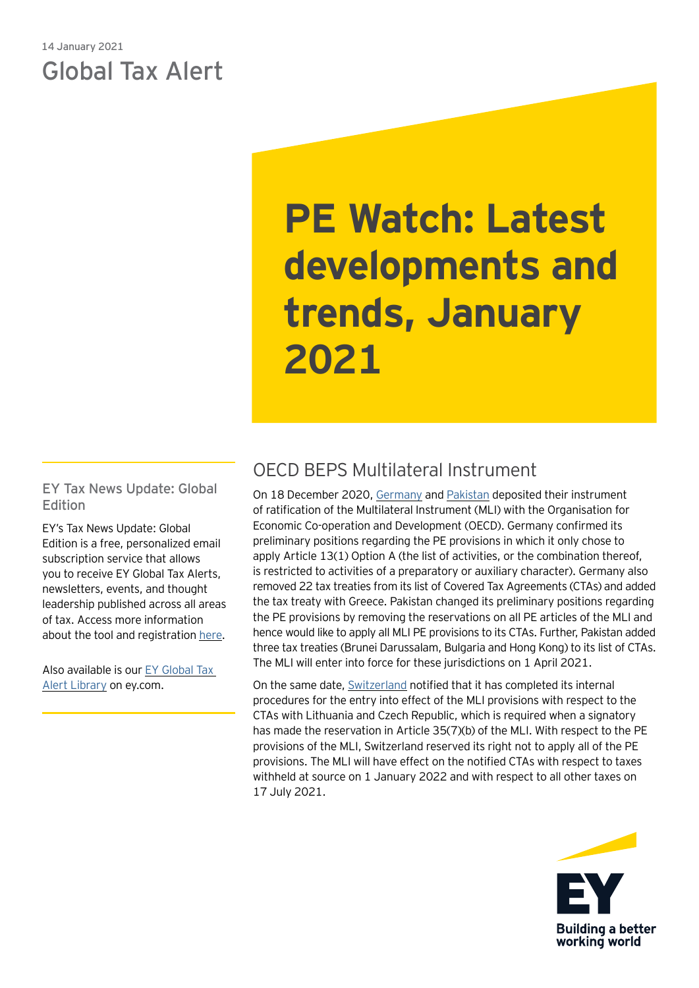## 14 January 2021 Global Tax Alert

# **PE Watch: Latest developments and trends, January 2021**

EY Tax News Update: Global Edition

EY's Tax News Update: Global Edition is a free, personalized email subscription service that allows you to receive EY Global Tax Alerts, newsletters, events, and thought leadership published across all areas of tax. Access more information about the tool and registration [here](https://globaltaxnews.ey.com/Register/Register.aspx).

Also available is our [EY Global Tax](https://www.ey.com/en_gl/tax-alerts)  [Alert Library](https://www.ey.com/en_gl/tax-alerts) on ey.com.

## OECD BEPS Multilateral Instrument

On 18 December 2020, [Germany](http://www.oecd.org/tax/treaties/beps-mli-position-germany-instrument-deposit.pdf) and [Pakistan](http://www.oecd.org/tax/treaties/beps-mli-position-pakistan-instrument-deposit.pdf) deposited their instrument of ratification of the Multilateral Instrument (MLI) with the Organisation for Economic Co-operation and Development (OECD). Germany confirmed its preliminary positions regarding the PE provisions in which it only chose to apply Article 13(1) Option A (the list of activities, or the combination thereof, is restricted to activities of a preparatory or auxiliary character). Germany also removed 22 tax treaties from its list of Covered Tax Agreements (CTAs) and added the tax treaty with Greece. Pakistan changed its preliminary positions regarding the PE provisions by removing the reservations on all PE articles of the MLI and hence would like to apply all MLI PE provisions to its CTAs. Further, Pakistan added three tax treaties (Brunei Darussalam, Bulgaria and Hong Kong) to its list of CTAs. The MLI will enter into force for these jurisdictions on 1 April 2021.

On the same date, [Switzerland](http://www.oecd.org/tax/treaties/beps-mli-notification-article-35-7-b-switzerland.pdf) notified that it has completed its internal procedures for the entry into effect of the MLI provisions with respect to the CTAs with Lithuania and Czech Republic, which is required when a signatory has made the reservation in Article 35(7)(b) of the MLI. With respect to the PE provisions of the MLI, Switzerland reserved its right not to apply all of the PE provisions. The MLI will have effect on the notified CTAs with respect to taxes withheld at source on 1 January 2022 and with respect to all other taxes on 17 July 2021.

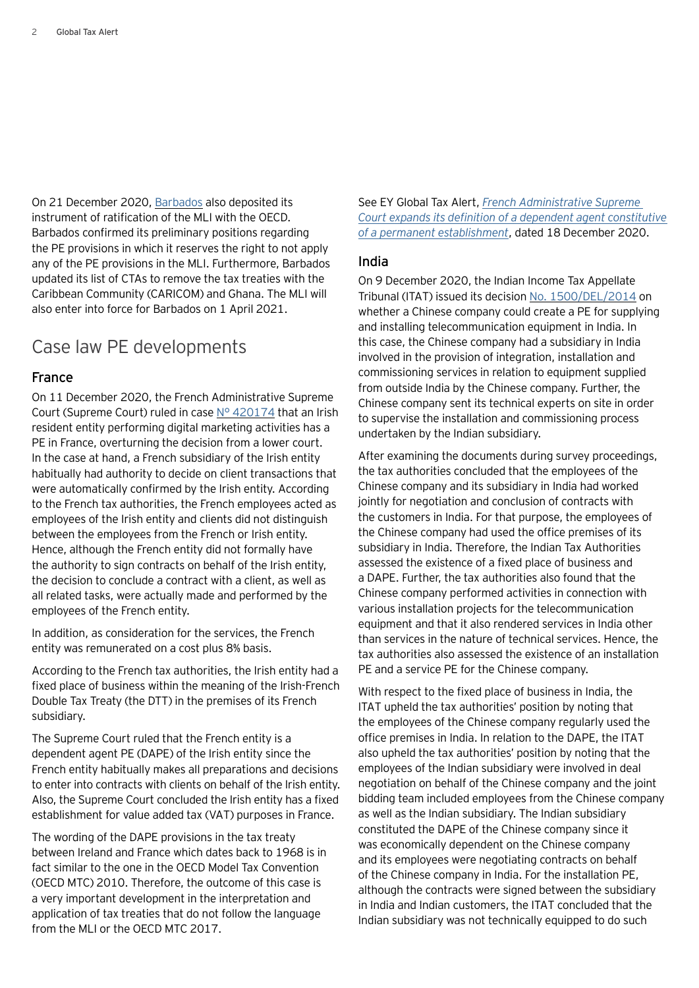On 21 December 2020, [Barbados](http://www.oecd.org/tax/treaties/beps-mli-position-barbados-instrument-deposit.pdf) also deposited its instrument of ratification of the MLI with the OECD. Barbados confirmed its preliminary positions regarding the PE provisions in which it reserves the right to not apply any of the PE provisions in the MLI. Furthermore, Barbados updated its list of CTAs to remove the tax treaties with the Caribbean Community (CARICOM) and Ghana. The MLI will also enter into force for Barbados on 1 April 2021.

## Case law PE developments

#### France

On 11 December 2020, the French Administrative Supreme Court (Supreme Court) ruled in case  $N^{\circ}$  420174 that an Irish resident entity performing digital marketing activities has a PE in France, overturning the decision from a lower court. In the case at hand, a French subsidiary of the Irish entity habitually had authority to decide on client transactions that were automatically confirmed by the Irish entity. According to the French tax authorities, the French employees acted as employees of the Irish entity and clients did not distinguish between the employees from the French or Irish entity. Hence, although the French entity did not formally have the authority to sign contracts on behalf of the Irish entity, the decision to conclude a contract with a client, as well as all related tasks, were actually made and performed by the employees of the French entity.

In addition, as consideration for the services, the French entity was remunerated on a cost plus 8% basis.

According to the French tax authorities, the Irish entity had a fixed place of business within the meaning of the Irish-French Double Tax Treaty (the DTT) in the premises of its French subsidiary.

The Supreme Court ruled that the French entity is a dependent agent PE (DAPE) of the Irish entity since the French entity habitually makes all preparations and decisions to enter into contracts with clients on behalf of the Irish entity. Also, the Supreme Court concluded the Irish entity has a fixed establishment for value added tax (VAT) purposes in France.

The wording of the DAPE provisions in the tax treaty between Ireland and France which dates back to 1968 is in fact similar to the one in the OECD Model Tax Convention (OECD MTC) 2010. Therefore, the outcome of this case is a very important development in the interpretation and application of tax treaties that do not follow the language from the MLI or the OECD MTC 2017.

See EY Global Tax Alert, *[French Administrative Supreme](https://globaltaxnews.ey.com/news/2020-6601-french-administrative-supreme-court-expands-its-definition-of-a-dependent-agent-constitutive-of-a-permanent-establishment)  [Court expands its definition of a dependent agent constitutive](https://globaltaxnews.ey.com/news/2020-6601-french-administrative-supreme-court-expands-its-definition-of-a-dependent-agent-constitutive-of-a-permanent-establishment) [of a permanent establishment](https://globaltaxnews.ey.com/news/2020-6601-french-administrative-supreme-court-expands-its-definition-of-a-dependent-agent-constitutive-of-a-permanent-establishment)*, dated 18 December 2020.

#### India

On 9 December 2020, the Indian Income Tax Appellate Tribunal (ITAT) issued its decision No. [1500/DEL/2014](https://www.itat.gov.in/files/uploads/categoryImage/1607501080-HUAWEI.pdf) on whether a Chinese company could create a PE for supplying and installing telecommunication equipment in India. In this case, the Chinese company had a subsidiary in India involved in the provision of integration, installation and commissioning services in relation to equipment supplied from outside India by the Chinese company. Further, the Chinese company sent its technical experts on site in order to supervise the installation and commissioning process undertaken by the Indian subsidiary.

After examining the documents during survey proceedings, the tax authorities concluded that the employees of the Chinese company and its subsidiary in India had worked jointly for negotiation and conclusion of contracts with the customers in India. For that purpose, the employees of the Chinese company had used the office premises of its subsidiary in India. Therefore, the Indian Tax Authorities assessed the existence of a fixed place of business and a DAPE. Further, the tax authorities also found that the Chinese company performed activities in connection with various installation projects for the telecommunication equipment and that it also rendered services in India other than services in the nature of technical services. Hence, the tax authorities also assessed the existence of an installation PE and a service PE for the Chinese company.

With respect to the fixed place of business in India, the ITAT upheld the tax authorities' position by noting that the employees of the Chinese company regularly used the office premises in India. In relation to the DAPE, the ITAT also upheld the tax authorities' position by noting that the employees of the Indian subsidiary were involved in deal negotiation on behalf of the Chinese company and the joint bidding team included employees from the Chinese company as well as the Indian subsidiary. The Indian subsidiary constituted the DAPE of the Chinese company since it was economically dependent on the Chinese company and its employees were negotiating contracts on behalf of the Chinese company in India. For the installation PE, although the contracts were signed between the subsidiary in India and Indian customers, the ITAT concluded that the Indian subsidiary was not technically equipped to do such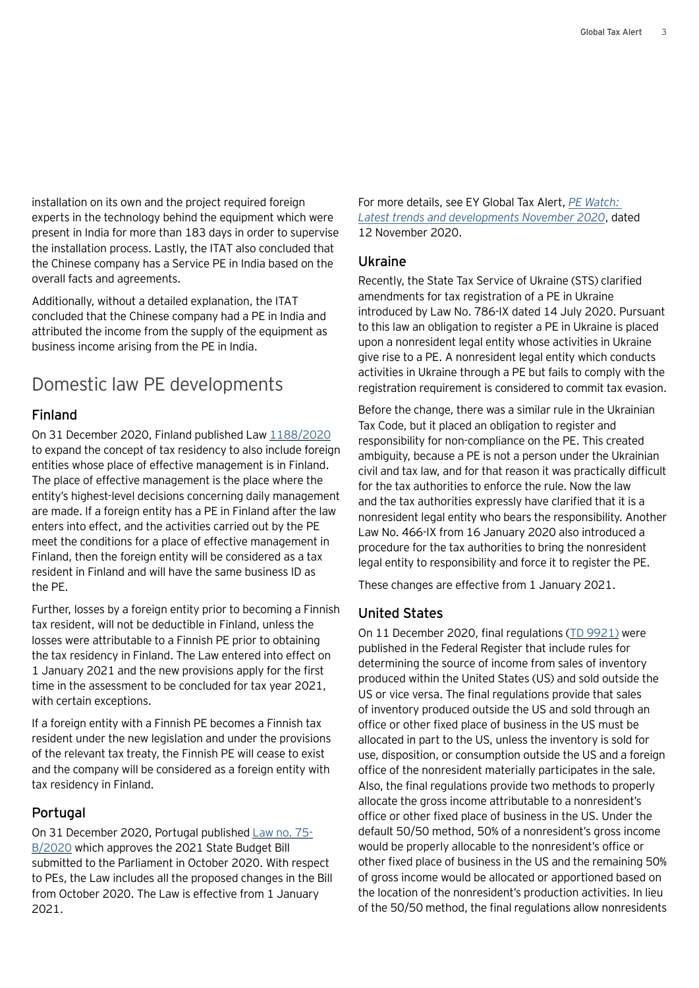installation on its own and the project required foreign experts in the technology behind the equipment which were present in India for more than 183 days in order to supervise the installation process. Lastly, the ITAT also concluded that the Chinese company has a Service PE in India based on the overall facts and agreements.

Additionally, without a detailed explanation, the ITAT concluded that the Chinese company had a PE in India and attributed the income from the supply of the equipment as business income arising from the PE in India.

## Domestic law PE developments

#### Finland

On 31 December 2020, Finland published Law [1188/2020](https://www.finlex.fi/fi/laki/kokoelma/2020/sk20201188.pdf) to expand the concept of tax residency to also include foreign entities whose place of effective management is in Finland. The place of effective management is the place where the entity's highest-level decisions concerning daily management are made. If a foreign entity has a PE in Finland after the law enters into effect, and the activities carried out by the PE meet the conditions for a place of effective management in Finland, then the foreign entity will be considered as a tax resident in Finland and will have the same business ID as the PE.

Further, losses by a foreign entity prior to becoming a Finnish tax resident, will not be deductible in Finland, unless the losses were attributable to a Finnish PE prior to obtaining the tax residency in Finland. The Law entered into effect on 1 January 2021 and the new provisions apply for the first time in the assessment to be concluded for tax year 2021, with certain exceptions.

If a foreign entity with a Finnish PE becomes a Finnish tax resident under the new legislation and under the provisions of the relevant tax treaty, the Finnish PE will cease to exist and the company will be considered as a foreign entity with tax residency in Finland.

#### Portugal

On 31 December 2020, Portugal published [Law no.](https://dre.pt/application/file/a/152639722) 75- [B/2020](https://dre.pt/application/file/a/152639722) which approves the 2021 State Budget Bill submitted to the Parliament in October 2020. With respect to PEs, the Law includes all the proposed changes in the Bill from October 2020. The Law is effective from 1 January 2021.

For more details, see EY Global Tax Alert, *[PE Watch:](https://globaltaxnews.ey.com/news/2020-6460-pe-watch-latest-developments-and-trends-november-2020)  [Latest trends and developments November 2020](https://globaltaxnews.ey.com/news/2020-6460-pe-watch-latest-developments-and-trends-november-2020)*, dated 12 November 2020.

#### Ukraine

Recently, the State Tax Service of Ukraine (STS) clarified amendments for tax registration of a PE in Ukraine introduced by Law No. 786-IX dated 14 July 2020. Pursuant to this law an obligation to register a PE in Ukraine is placed upon a nonresident legal entity whose activities in Ukraine give rise to a PE. A nonresident legal entity which conducts activities in Ukraine through a PE but fails to comply with the registration requirement is considered to commit tax evasion.

Before the change, there was a similar rule in the Ukrainian Tax Code, but it placed an obligation to register and responsibility for non-compliance on the PE. This created ambiguity, because a PE is not a person under the Ukrainian civil and tax law, and for that reason it was practically difficult for the tax authorities to enforce the rule. Now the law and the tax authorities expressly have clarified that it is a nonresident legal entity who bears the responsibility. Another Law No. 466-IX from 16 January 2020 also introduced a procedure for the tax authorities to bring the nonresident legal entity to responsibility and force it to register the PE.

These changes are effective from 1 January 2021.

#### United States

On 11 December 2020, final regulations (TD [9921\)](https://www.irs.gov/pub/irs-drop/td-9921.pdf) were published in the Federal Register that include rules for determining the source of income from sales of inventory produced within the United States (US) and sold outside the US or vice versa. The final regulations provide that sales of inventory produced outside the US and sold through an office or other fixed place of business in the US must be allocated in part to the US, unless the inventory is sold for use, disposition, or consumption outside the US and a foreign office of the nonresident materially participates in the sale. Also, the final regulations provide two methods to properly allocate the gross income attributable to a nonresident's office or other fixed place of business in the US. Under the default 50/50 method, 50% of a nonresident's gross income would be properly allocable to the nonresident's office or other fixed place of business in the US and the remaining 50% of gross income would be allocated or apportioned based on the location of the nonresident's production activities. In lieu of the 50/50 method, the final regulations allow nonresidents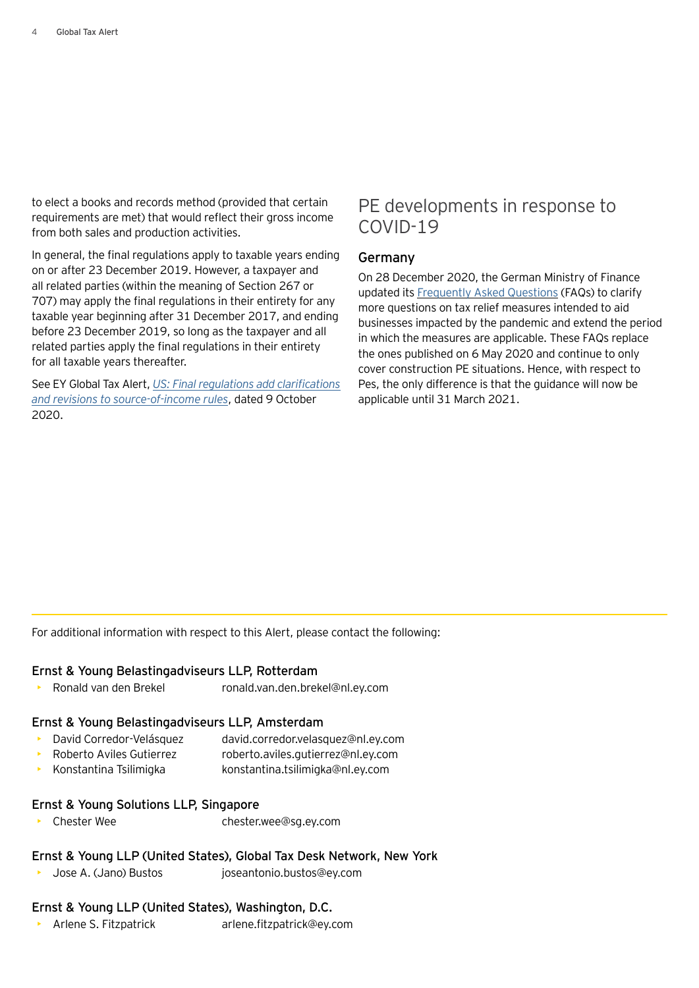to elect a books and records method (provided that certain requirements are met) that would reflect their gross income from both sales and production activities.

In general, the final regulations apply to taxable years ending on or after 23 December 2019. However, a taxpayer and all related parties (within the meaning of Section 267 or 707) may apply the final regulations in their entirety for any taxable year beginning after 31 December 2017, and ending before 23 December 2019, so long as the taxpayer and all related parties apply the final regulations in their entirety for all taxable years thereafter.

See EY Global Tax Alert, *[US: Final regulations add clarifications](https://globaltaxnews.ey.com/news/2020-6318-us-final-regulations-add-clarifications-and-revisions-to-source-of-income-rules) [and revisions to source-of-income rules](https://globaltaxnews.ey.com/news/2020-6318-us-final-regulations-add-clarifications-and-revisions-to-source-of-income-rules)*, dated 9 October 2020.

## PE developments in response to COVID-19

#### Germany

On 28 December 2020, the German Ministry of Finance updated its [Frequently Asked Questions](https://www.bundesfinanzministerium.de/Content/DE/Standardartikel/Themen/Steuern/2020-04-01-FAQ_Corona_Steuern.html?cms_pk_kwd=06.04.2020_FAQ+Corona+Steuern+&cms_pk_campaign=Newsletter-06.04.2020) (FAQs) to clarify more questions on tax relief measures intended to aid businesses impacted by the pandemic and extend the period in which the measures are applicable. These FAQs replace the ones published on 6 May 2020 and continue to only cover construction PE situations. Hence, with respect to Pes, the only difference is that the guidance will now be applicable until 31 March 2021.

For additional information with respect to this Alert, please contact the following:

#### Ernst & Young Belastingadviseurs LLP, Rotterdam

• Ronald van den Brekel ronald.van.den.brekel@nl.ey.com

#### Ernst & Young Belastingadviseurs LLP, Amsterdam

- David Corredor-Velásquez david.corredor.velasquez@nl.ey.com
- Roberto Aviles Gutierrez roberto.aviles.gutierrez@nl.ey.com
- Konstantina Tsilimigka konstantina.tsilimigka@nl.ey.com

#### Ernst & Young Solutions LLP, Singapore

• Chester Wee chester.wee@sg.ey.com

### Ernst & Young LLP (United States), Global Tax Desk Network, New York

• Jose A. (Jano) Bustos joseantonio.bustos@ey.com

## Ernst & Young LLP (United States), Washington, D.C.

• Arlene S. Fitzpatrick arlene.fitzpatrick@ey.com